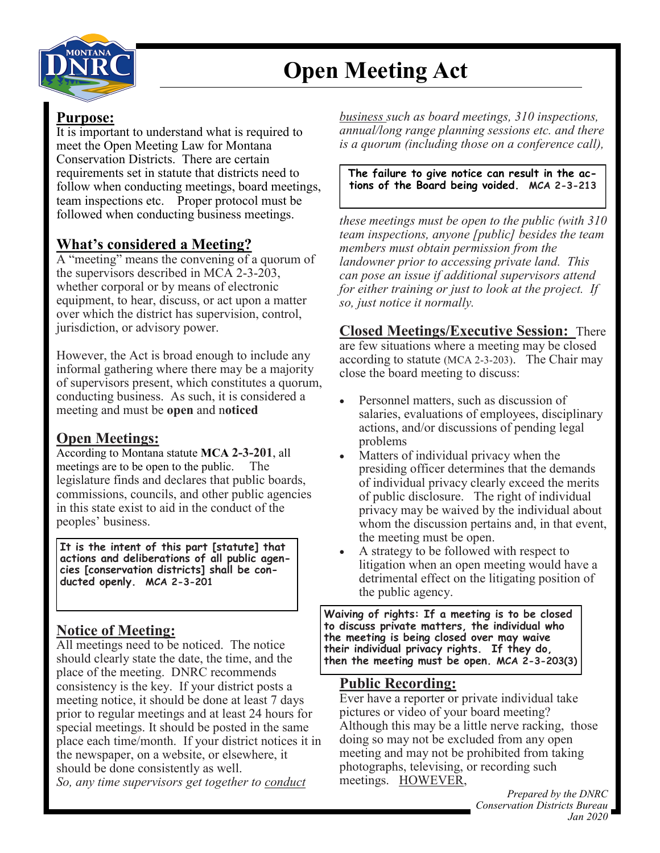

# **Open Meeting Act**

### **Purpose:**

It is important to understand what is required to meet the Open Meeting Law for Montana Conservation Districts. There are certain requirements set in statute that districts need to follow when conducting meetings, board meetings, team inspections etc. Proper protocol must be followed when conducting business meetings.

### **What's considered a Meeting?**

A "meeting" means the convening of a quorum of the supervisors described in MCA 2-3-203, whether corporal or by means of electronic equipment, to hear, discuss, or act upon a matter over which the district has supervision, control, jurisdiction, or advisory power.

However, the Act is broad enough to include any informal gathering where there may be a majority of supervisors present, which constitutes a quorum, conducting business. As such, it is considered a meeting and must be **open** and n**oticed**

### **Open Meetings:**

According to Montana statute **MCA 2-3-201**, all meetings are to be open to the public. The legislature finds and declares that public boards, commissions, councils, and other public agencies in this state exist to aid in the conduct of the peoples' business.

**It is the intent of this part [statute] that actions and deliberations of all public agencies [conservation districts] shall be conducted openly. MCA 2-3-201**

### **Notice of Meeting:**

All meetings need to be noticed. The notice should clearly state the date, the time, and the place of the meeting. DNRC recommends consistency is the key. If your district posts a meeting notice, it should be done at least 7 days prior to regular meetings and at least 24 hours for special meetings. It should be posted in the same place each time/month. If your district notices it in the newspaper, on a website, or elsewhere, it should be done consistently as well. *So, any time supervisors get together to conduct* 

*business such as board meetings, 310 inspections, annual/long range planning sessions etc. and there is a quorum (including those on a conference call),* 

#### **The failure to give notice can result in the actions of the Board being voided. MCA 2-3-213**

*these meetings must be open to the public (with 310 team inspections, anyone [public] besides the team members must obtain permission from the landowner prior to accessing private land. This can pose an issue if additional supervisors attend for either training or just to look at the project. If so, just notice it normally.*

**Closed Meetings/Executive Session:** There are few situations where a meeting may be closed according to statute (MCA 2-3-203). The Chair may close the board meeting to discuss:

- Personnel matters, such as discussion of salaries, evaluations of employees, disciplinary actions, and/or discussions of pending legal problems
- Matters of individual privacy when the presiding officer determines that the demands of individual privacy clearly exceed the merits of public disclosure. The right of individual privacy may be waived by the individual about whom the discussion pertains and, in that event, the meeting must be open.
- A strategy to be followed with respect to litigation when an open meeting would have a detrimental effect on the litigating position of the public agency.

**Waiving of rights: If a meeting is to be closed to discuss private matters, the individual who the meeting is being closed over may waive their individual privacy rights. If they do, then the meeting must be open. MCA 2-3-203(3)**

### **Public Recording:**

Ever have a reporter or private individual take pictures or video of your board meeting? Although this may be a little nerve racking, those doing so may not be excluded from any open meeting and may not be prohibited from taking photographs, televising, or recording such meetings. HOWEVER,

> *Prepared by the DNRC Conservation Districts Bureau Jan 2020*